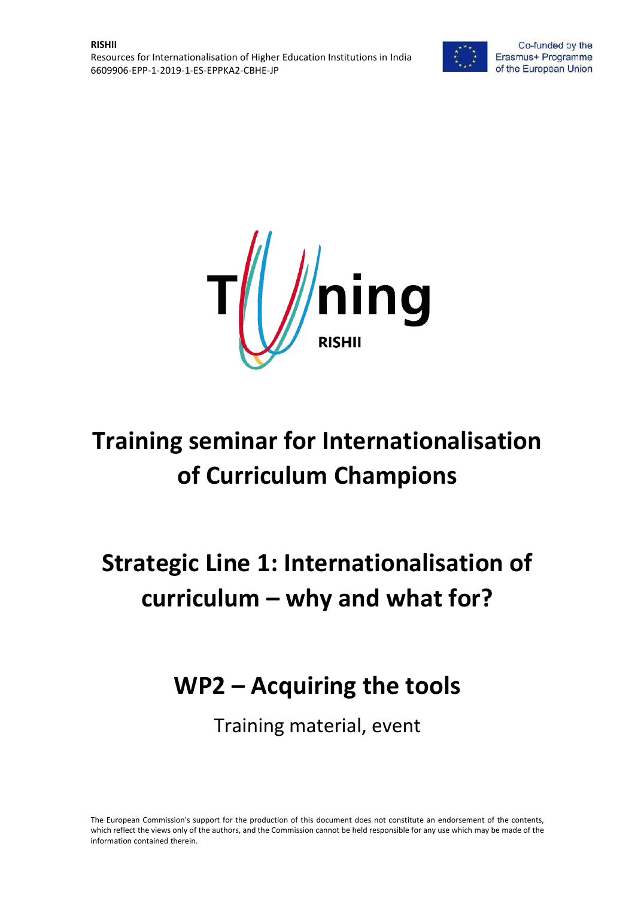



# **Training seminar for Internationalisation of Curriculum Champions**

# **Strategic Line 1: Internationalisation of curriculum – why and what for?**

# **WP2 – Acquiring the tools**

Training material, event

The European Commission's support for the production of this document does not constitute an endorsement of the contents, which reflect the views only of the authors, and the Commission cannot be held responsible for any use which may be made of the information contained therein.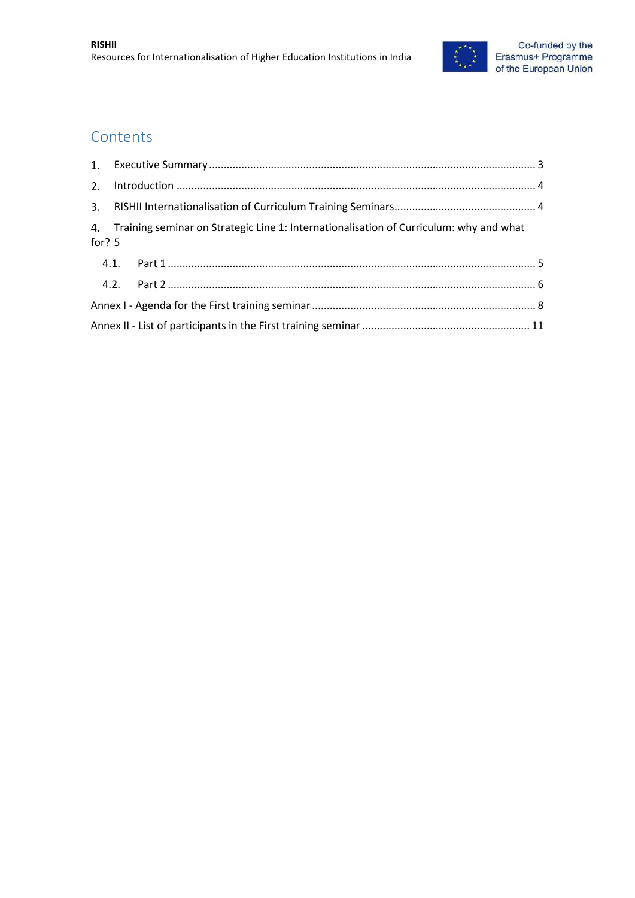

### **Contents**

|  | 4. Training seminar on Strategic Line 1: Internationalisation of Curriculum: why and what<br>for? $5$ |  |  |  |  |
|--|-------------------------------------------------------------------------------------------------------|--|--|--|--|
|  |                                                                                                       |  |  |  |  |
|  |                                                                                                       |  |  |  |  |
|  |                                                                                                       |  |  |  |  |
|  |                                                                                                       |  |  |  |  |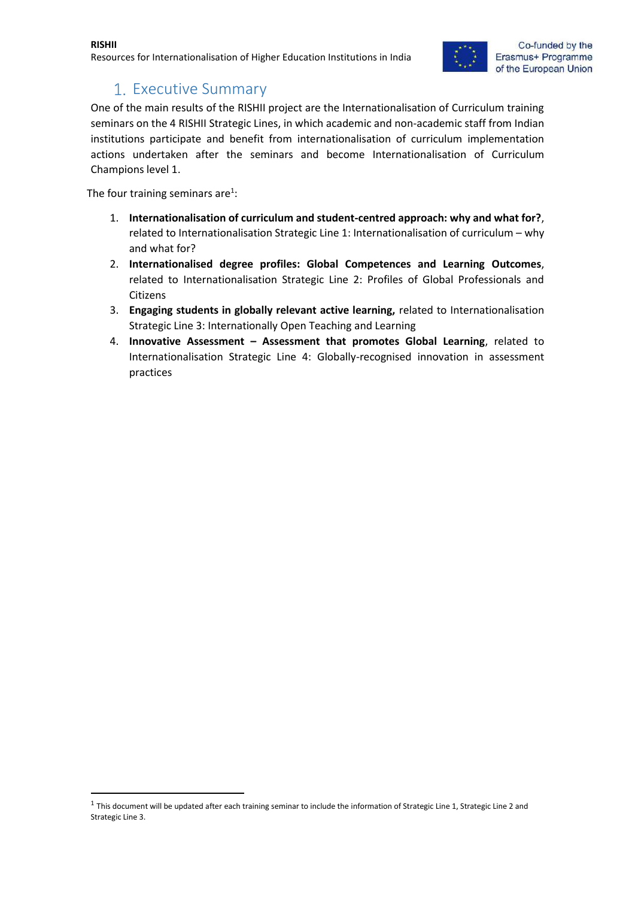

### 1. Executive Summary

<span id="page-2-0"></span>One of the main results of the RISHII project are the Internationalisation of Curriculum training seminars on the 4 RISHII Strategic Lines, in which academic and non-academic staff from Indian institutions participate and benefit from internationalisation of curriculum implementation actions undertaken after the seminars and become Internationalisation of Curriculum Champions level 1.

The four training seminars are<sup>1</sup>:

**.** 

- 1. **Internationalisation of curriculum and student-centred approach: why and what for?**, related to Internationalisation Strategic Line 1: Internationalisation of curriculum – why and what for?
- 2. **Internationalised degree profiles: Global Competences and Learning Outcomes**, related to Internationalisation Strategic Line 2: Profiles of Global Professionals and Citizens
- 3. **Engaging students in globally relevant active learning,** related to Internationalisation Strategic Line 3: Internationally Open Teaching and Learning
- 4. **Innovative Assessment – Assessment that promotes Global Learning**, related to Internationalisation Strategic Line 4: Globally-recognised innovation in assessment practices

 $1$  This document will be updated after each training seminar to include the information of Strategic Line 1, Strategic Line 2 and Strategic Line 3.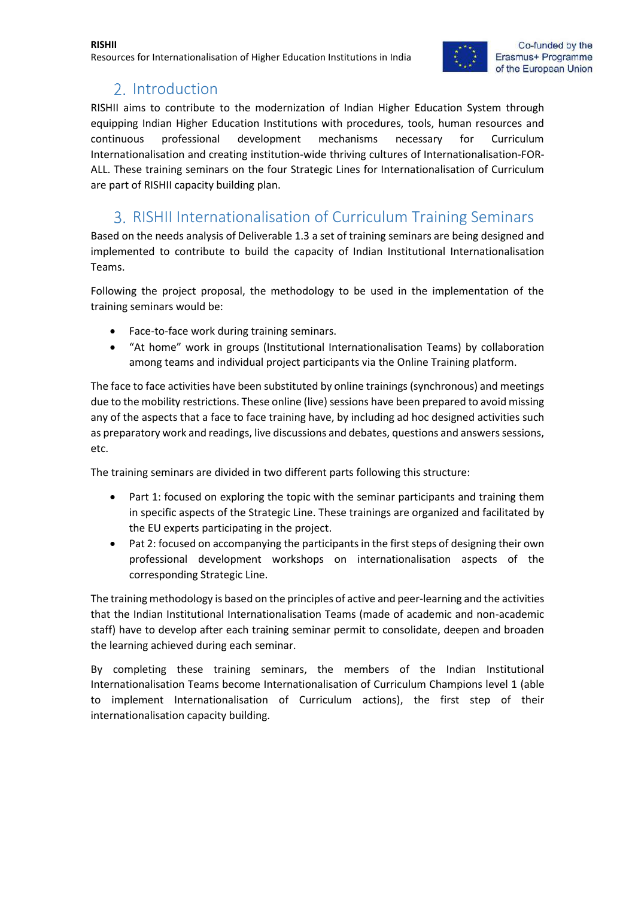#### **RISHII** Resources for Internationalisation of Higher Education Institutions in India



### 2. Introduction

<span id="page-3-0"></span>RISHII aims to contribute to the modernization of Indian Higher Education System through equipping Indian Higher Education Institutions with procedures, tools, human resources and continuous professional development mechanisms necessary for Curriculum Internationalisation and creating institution-wide thriving cultures of Internationalisation-FOR-ALL. These training seminars on the four Strategic Lines for Internationalisation of Curriculum are part of RISHII capacity building plan.

### <span id="page-3-1"></span>RISHII Internationalisation of Curriculum Training Seminars

Based on the needs analysis of Deliverable 1.3 a set of training seminars are being designed and implemented to contribute to build the capacity of Indian Institutional Internationalisation Teams.

Following the project proposal, the methodology to be used in the implementation of the training seminars would be:

- Face-to-face work during training seminars.
- "At home" work in groups (Institutional Internationalisation Teams) by collaboration among teams and individual project participants via the Online Training platform.

The face to face activities have been substituted by online trainings (synchronous) and meetings due to the mobility restrictions. These online (live) sessions have been prepared to avoid missing any of the aspects that a face to face training have, by including ad hoc designed activities such as preparatory work and readings, live discussions and debates, questions and answers sessions, etc.

The training seminars are divided in two different parts following this structure:

- Part 1: focused on exploring the topic with the seminar participants and training them in specific aspects of the Strategic Line. These trainings are organized and facilitated by the EU experts participating in the project.
- Pat 2: focused on accompanying the participants in the first steps of designing their own professional development workshops on internationalisation aspects of the corresponding Strategic Line.

The training methodology is based on the principles of active and peer-learning and the activities that the Indian Institutional Internationalisation Teams (made of academic and non-academic staff) have to develop after each training seminar permit to consolidate, deepen and broaden the learning achieved during each seminar.

By completing these training seminars, the members of the Indian Institutional Internationalisation Teams become Internationalisation of Curriculum Champions level 1 (able to implement Internationalisation of Curriculum actions), the first step of their internationalisation capacity building.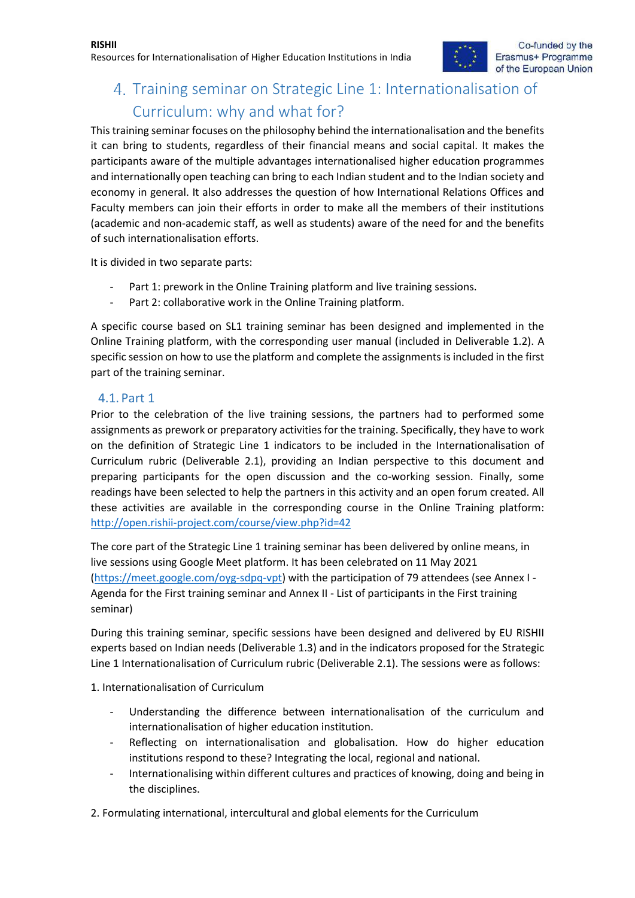## <span id="page-4-0"></span>4. Training seminar on Strategic Line 1: Internationalisation of Curriculum: why and what for?

This training seminar focuses on the philosophy behind the internationalisation and the benefits it can bring to students, regardless of their financial means and social capital. It makes the participants aware of the multiple advantages internationalised higher education programmes and internationally open teaching can bring to each Indian student and to the Indian society and economy in general. It also addresses the question of how International Relations Offices and Faculty members can join their efforts in order to make all the members of their institutions (academic and non-academic staff, as well as students) aware of the need for and the benefits of such internationalisation efforts.

It is divided in two separate parts:

- Part 1: prework in the Online Training platform and live training sessions.
- Part 2: collaborative work in the Online Training platform.

A specific course based on SL1 training seminar has been designed and implemented in the Online Training platform, with the corresponding user manual (included in Deliverable 1.2). A specific session on how to use the platform and complete the assignments is included in the first part of the training seminar.

#### <span id="page-4-1"></span>4.1. Part 1

Prior to the celebration of the live training sessions, the partners had to performed some assignments as prework or preparatory activities for the training. Specifically, they have to work on the definition of Strategic Line 1 indicators to be included in the Internationalisation of Curriculum rubric (Deliverable 2.1), providing an Indian perspective to this document and preparing participants for the open discussion and the co-working session. Finally, some readings have been selected to help the partners in this activity and an open forum created. All these activities are available in the corresponding course in the Online Training platform: <http://open.rishii-project.com/course/view.php?id=42>

The core part of the Strategic Line 1 training seminar has been delivered by online means, in live sessions using Google Meet platform. It has been celebrated on 11 May 2021 [\(https://meet.google.com/oyg-sdpq-vpt\)](https://meet.google.com/oyg-sdpq-vpt) with the participation of 79 attendees (see [Annex I -](#page-7-0) [Agenda for the First training seminar](#page-7-0) and Annex II - [List of participants in the First training](#page-10-0)  [seminar\)](#page-10-0)

During this training seminar, specific sessions have been designed and delivered by EU RISHII experts based on Indian needs (Deliverable 1.3) and in the indicators proposed for the Strategic Line 1 Internationalisation of Curriculum rubric (Deliverable 2.1). The sessions were as follows:

1. Internationalisation of Curriculum

- Understanding the difference between internationalisation of the curriculum and internationalisation of higher education institution.
- Reflecting on internationalisation and globalisation. How do higher education institutions respond to these? Integrating the local, regional and national.
- Internationalising within different cultures and practices of knowing, doing and being in the disciplines.

2. Formulating international, intercultural and global elements for the Curriculum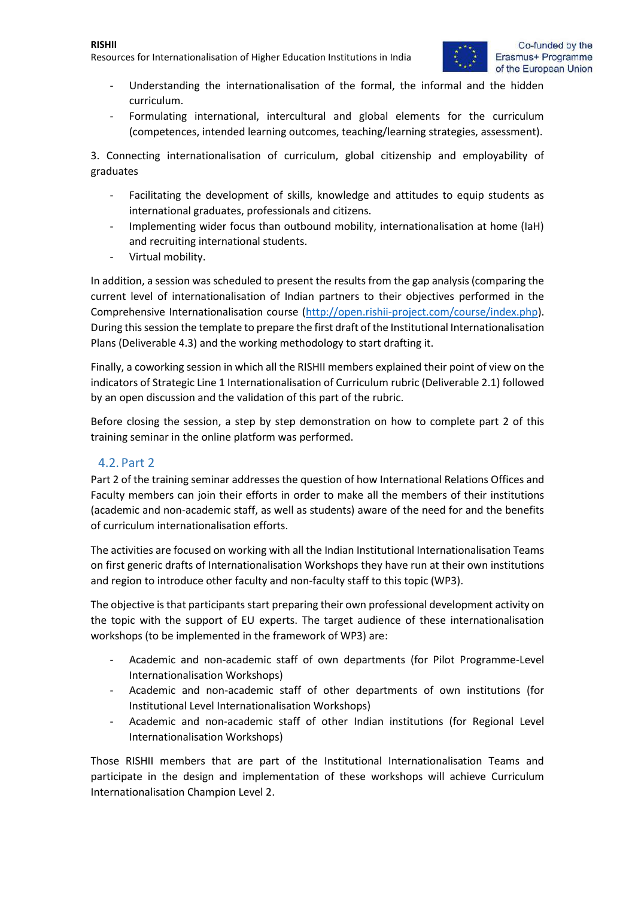#### **RISHII**

Resources for Internationalisation of Higher Education Institutions in India



- Understanding the internationalisation of the formal, the informal and the hidden curriculum.
- Formulating international, intercultural and global elements for the curriculum (competences, intended learning outcomes, teaching/learning strategies, assessment).

3. Connecting internationalisation of curriculum, global citizenship and employability of graduates

- Facilitating the development of skills, knowledge and attitudes to equip students as international graduates, professionals and citizens.
- Implementing wider focus than outbound mobility, internationalisation at home (IaH) and recruiting international students.
- Virtual mobility.

In addition, a session was scheduled to present the results from the gap analysis (comparing the current level of internationalisation of Indian partners to their objectives performed in the Comprehensive Internationalisation course [\(http://open.rishii-project.com/course/index.php\)](http://open.rishii-project.com/course/index.php). During this session the template to prepare the first draft of the Institutional Internationalisation Plans (Deliverable 4.3) and the working methodology to start drafting it.

Finally, a coworking session in which all the RISHII members explained their point of view on the indicators of Strategic Line 1 Internationalisation of Curriculum rubric (Deliverable 2.1) followed by an open discussion and the validation of this part of the rubric.

Before closing the session, a step by step demonstration on how to complete part 2 of this training seminar in the online platform was performed.

#### <span id="page-5-0"></span>4.2. Part 2

Part 2 of the training seminar addresses the question of how International Relations Offices and Faculty members can join their efforts in order to make all the members of their institutions (academic and non-academic staff, as well as students) aware of the need for and the benefits of curriculum internationalisation efforts.

The activities are focused on working with all the Indian Institutional Internationalisation Teams on first generic drafts of Internationalisation Workshops they have run at their own institutions and region to introduce other faculty and non-faculty staff to this topic (WP3).

The objective is that participants start preparing their own professional development activity on the topic with the support of EU experts. The target audience of these internationalisation workshops (to be implemented in the framework of WP3) are:

- Academic and non-academic staff of own departments (for Pilot Programme-Level Internationalisation Workshops)
- Academic and non-academic staff of other departments of own institutions (for Institutional Level Internationalisation Workshops)
- Academic and non-academic staff of other Indian institutions (for Regional Level Internationalisation Workshops)

Those RISHII members that are part of the Institutional Internationalisation Teams and participate in the design and implementation of these workshops will achieve Curriculum Internationalisation Champion Level 2.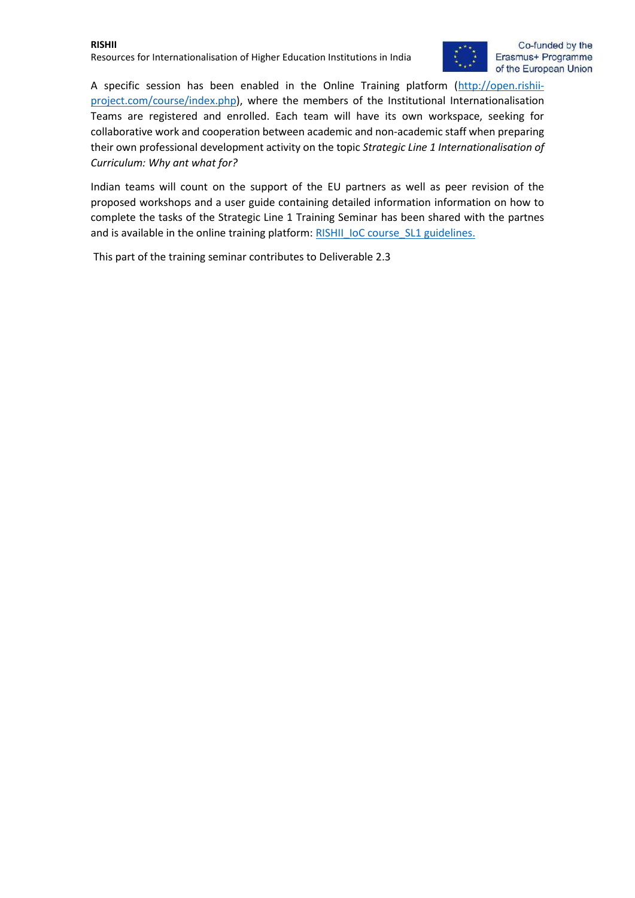#### **RISHII** Resources for Internationalisation of Higher Education Institutions in India



A specific session has been enabled in the Online Training platform [\(http://open.rishii](http://open.rishii-project.com/course/index.php)[project.com/course/index.php\)](http://open.rishii-project.com/course/index.php), where the members of the Institutional Internationalisation Teams are registered and enrolled. Each team will have its own workspace, seeking for collaborative work and cooperation between academic and non-academic staff when preparing their own professional development activity on the topic *Strategic Line 1 Internationalisation of Curriculum: Why ant what for?*

Indian teams will count on the support of the EU partners as well as peer revision of the proposed workshops and a user guide containing detailed information information on how to complete the tasks of the Strategic Line 1 Training Seminar has been shared with the partnes and is available in the online training platform: [RISHII\\_IoC course\\_SL1 guidelines.](https://drive.google.com/file/d/1ggNYHvJLvd3gGQ9SOWGof-R637rNOGDv/view?usp=sharing)

This part of the training seminar contributes to Deliverable 2.3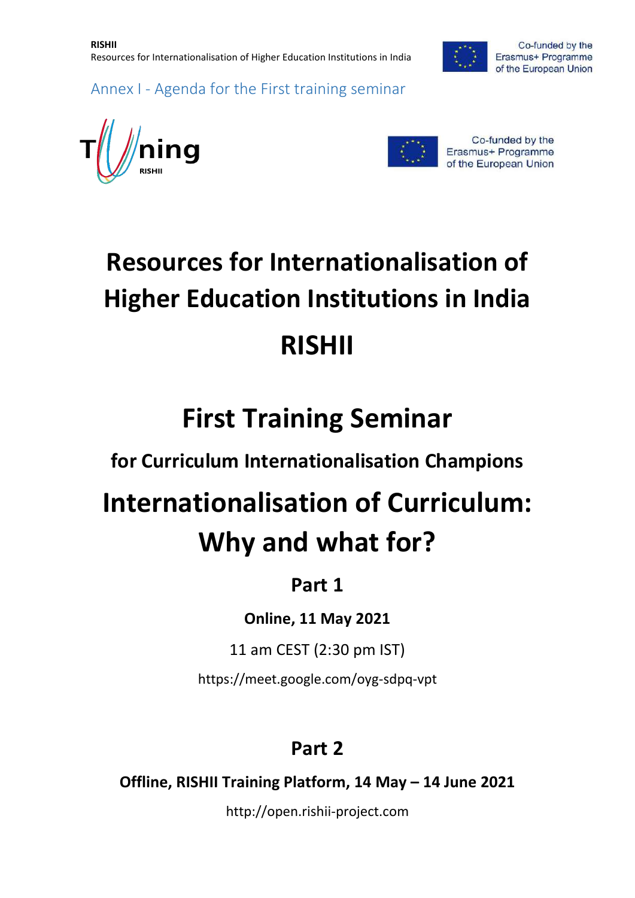

<span id="page-7-0"></span>Annex I - Agenda for the First training seminar





Co-funded by the Erasmus+ Programme of the European Union

# **Resources for Internationalisation of Higher Education Institutions in India RISHII**

# **First Training Seminar**

**for Curriculum Internationalisation Champions** 

# **Internationalisation of Curriculum: Why and what for?**

# **Part 1**

**Online, 11 May 2021**

11 am CEST (2:30 pm IST)

https://meet.google.com/oyg-sdpq-vpt

# **Part 2**

**Offline, RISHII Training Platform, 14 May – 14 June 2021**

http://open.rishii-project.com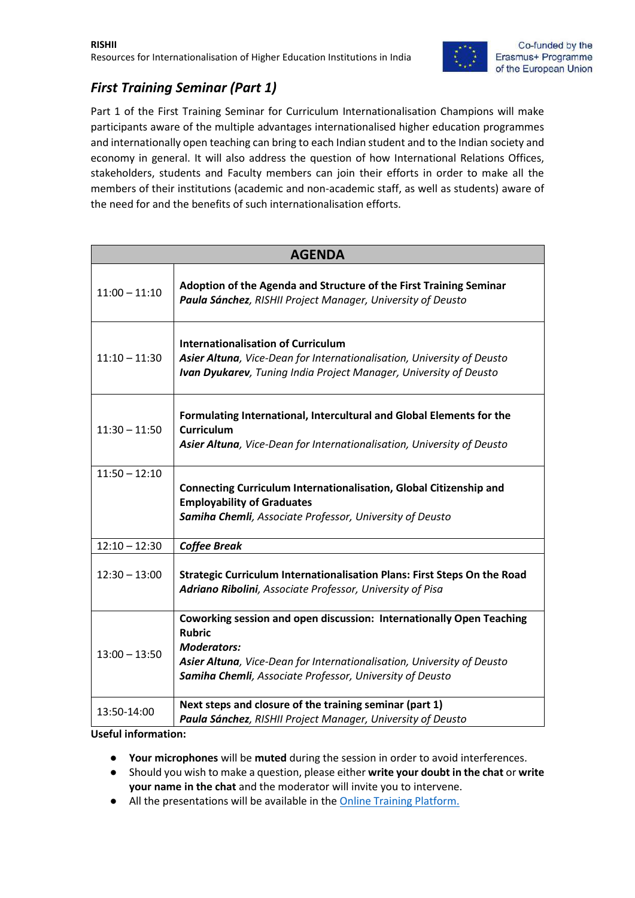

### *First Training Seminar (Part 1)*

Part 1 of the First Training Seminar for Curriculum Internationalisation Champions will make participants aware of the multiple advantages internationalised higher education programmes and internationally open teaching can bring to each Indian student and to the Indian society and economy in general. It will also address the question of how International Relations Offices, stakeholders, students and Faculty members can join their efforts in order to make all the members of their institutions (academic and non-academic staff, as well as students) aware of the need for and the benefits of such internationalisation efforts.

| <b>AGENDA</b>   |                                                                                                                                                                                                                                                   |  |  |  |  |
|-----------------|---------------------------------------------------------------------------------------------------------------------------------------------------------------------------------------------------------------------------------------------------|--|--|--|--|
| $11:00 - 11:10$ | Adoption of the Agenda and Structure of the First Training Seminar<br>Paula Sánchez, RISHII Project Manager, University of Deusto                                                                                                                 |  |  |  |  |
| $11:10 - 11:30$ | <b>Internationalisation of Curriculum</b><br>Asier Altuna, Vice-Dean for Internationalisation, University of Deusto<br>Ivan Dyukarev, Tuning India Project Manager, University of Deusto                                                          |  |  |  |  |
| $11:30 - 11:50$ | Formulating International, Intercultural and Global Elements for the<br><b>Curriculum</b><br>Asier Altuna, Vice-Dean for Internationalisation, University of Deusto                                                                               |  |  |  |  |
| $11:50 - 12:10$ | Connecting Curriculum Internationalisation, Global Citizenship and<br><b>Employability of Graduates</b><br>Samiha Chemli, Associate Professor, University of Deusto                                                                               |  |  |  |  |
| $12:10 - 12:30$ | <b>Coffee Break</b>                                                                                                                                                                                                                               |  |  |  |  |
| $12:30 - 13:00$ | Strategic Curriculum Internationalisation Plans: First Steps On the Road<br>Adriano Ribolini, Associate Professor, University of Pisa                                                                                                             |  |  |  |  |
| $13:00 - 13:50$ | Coworking session and open discussion: Internationally Open Teaching<br><b>Rubric</b><br><b>Moderators:</b><br>Asier Altuna, Vice-Dean for Internationalisation, University of Deusto<br>Samiha Chemli, Associate Professor, University of Deusto |  |  |  |  |
| 13:50-14:00     | Next steps and closure of the training seminar (part 1)<br>Paula Sánchez, RISHII Project Manager, University of Deusto                                                                                                                            |  |  |  |  |

**Useful information:** 

- **Your microphones** will be **muted** during the session in order to avoid interferences.
- Should you wish to make a question, please either **write your doubt in the chat** or **write your name in the chat** and the moderator will invite you to intervene.
- All the presentations will be available in th[e Online Training Platform.](http://open.rishii-project.com/)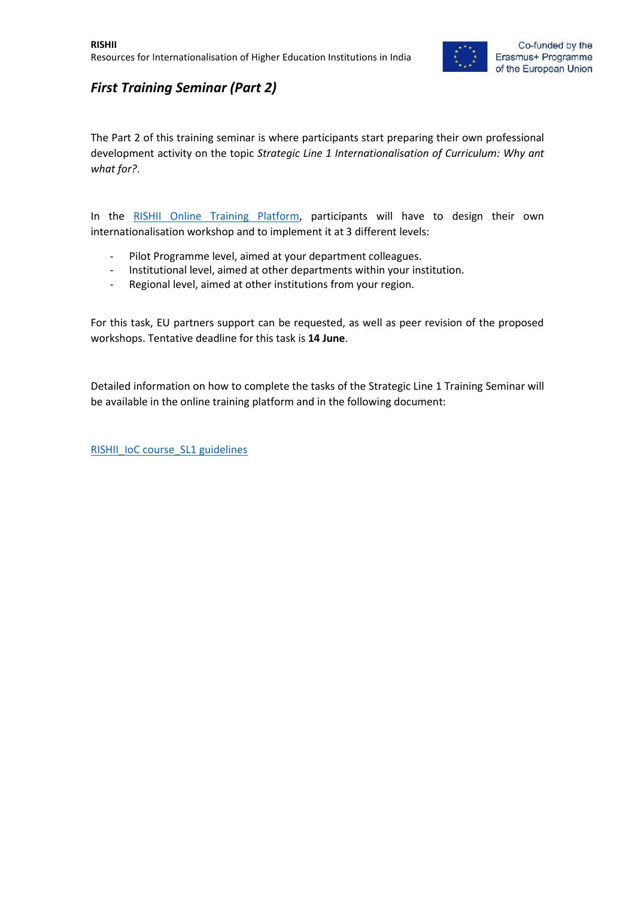

### *First Training Seminar (Part 2)*

The Part 2 of this training seminar is where participants start preparing their own professional development activity on the topic *Strategic Line 1 Internationalisation of Curriculum: Why ant what for?*.

In the [RISHII Online Training Platform,](http://open.rishii-project.com/course/view.php?id=42) participants will have to design their own internationalisation workshop and to implement it at 3 different levels:

- Pilot Programme level, aimed at your department colleagues.
- Institutional level, aimed at other departments within your institution.
- Regional level, aimed at other institutions from your region.

For this task, EU partners support can be requested, as well as peer revision of the proposed workshops. Tentative deadline for this task is **14 June**.

Detailed information on how to complete the tasks of the Strategic Line 1 Training Seminar will be available in the online training platform and in the following document:

[RISHII\\_IoC course\\_SL1 guidelines](https://drive.google.com/file/d/1ggNYHvJLvd3gGQ9SOWGof-R637rNOGDv/view?usp=sharing)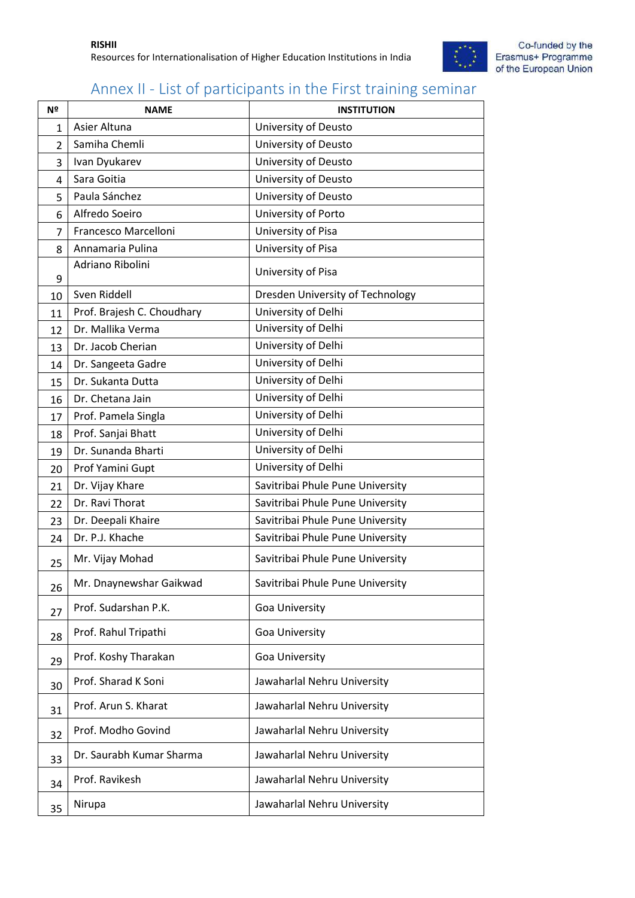

## <span id="page-10-0"></span>Annex II - List of participants in the First training seminar

| Nº             | <b>NAME</b>                | <b>INSTITUTION</b>               |
|----------------|----------------------------|----------------------------------|
| 1              | Asier Altuna               | University of Deusto             |
| $\overline{2}$ | Samiha Chemli              | University of Deusto             |
| 3              | Ivan Dyukarev              | University of Deusto             |
| 4              | Sara Goitia                | University of Deusto             |
| 5              | Paula Sánchez              | University of Deusto             |
| 6              | Alfredo Soeiro             | University of Porto              |
| $\overline{7}$ | Francesco Marcelloni       | University of Pisa               |
| 8              | Annamaria Pulina           | University of Pisa               |
| 9              | Adriano Ribolini           | University of Pisa               |
| 10             | Sven Riddell               | Dresden University of Technology |
| 11             | Prof. Brajesh C. Choudhary | University of Delhi              |
| 12             | Dr. Mallika Verma          | University of Delhi              |
| 13             | Dr. Jacob Cherian          | University of Delhi              |
| 14             | Dr. Sangeeta Gadre         | University of Delhi              |
| 15             | Dr. Sukanta Dutta          | University of Delhi              |
| 16             | Dr. Chetana Jain           | University of Delhi              |
| 17             | Prof. Pamela Singla        | University of Delhi              |
| 18             | Prof. Sanjai Bhatt         | University of Delhi              |
| 19             | Dr. Sunanda Bharti         | University of Delhi              |
| 20             | Prof Yamini Gupt           | University of Delhi              |
| 21             | Dr. Vijay Khare            | Savitribai Phule Pune University |
| 22             | Dr. Ravi Thorat            | Savitribai Phule Pune University |
| 23             | Dr. Deepali Khaire         | Savitribai Phule Pune University |
| 24             | Dr. P.J. Khache            | Savitribai Phule Pune University |
| 25             | Mr. Vijay Mohad            | Savitribai Phule Pune University |
| 26             | Mr. Dnaynewshar Gaikwad    | Savitribai Phule Pune University |
| 27             | Prof. Sudarshan P.K.       | Goa University                   |
| 28             | Prof. Rahul Tripathi       | Goa University                   |
| 29             | Prof. Koshy Tharakan       | Goa University                   |
| 30             | Prof. Sharad K Soni        | Jawaharlal Nehru University      |
| 31             | Prof. Arun S. Kharat       | Jawaharlal Nehru University      |
| 32             | Prof. Modho Govind         | Jawaharlal Nehru University      |
| 33             | Dr. Saurabh Kumar Sharma   | Jawaharlal Nehru University      |
| 34             | Prof. Ravikesh             | Jawaharlal Nehru University      |
| 35             | Nirupa                     | Jawaharlal Nehru University      |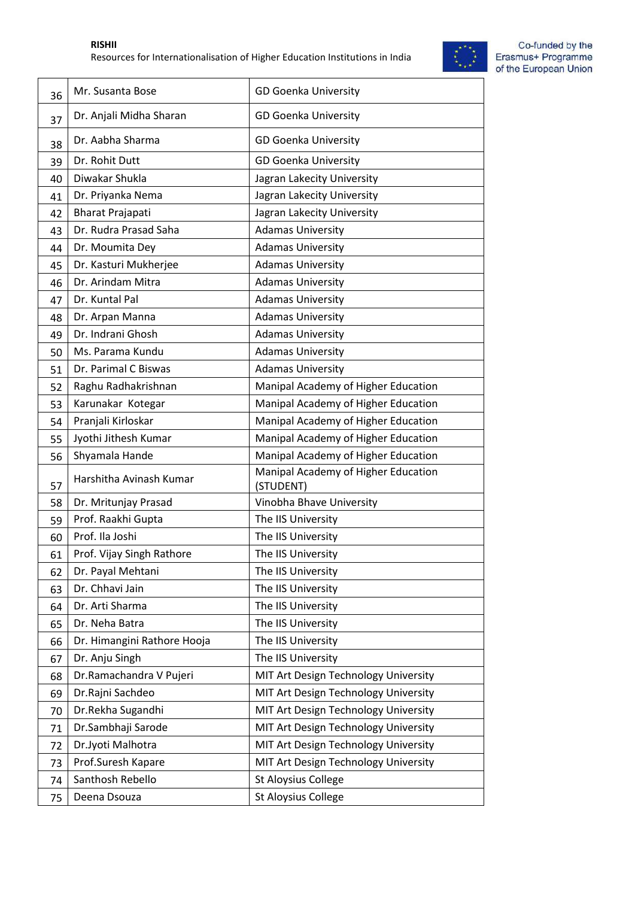

| 36 | Mr. Susanta Bose            | <b>GD Goenka University</b>                      |
|----|-----------------------------|--------------------------------------------------|
| 37 | Dr. Anjali Midha Sharan     | <b>GD Goenka University</b>                      |
| 38 | Dr. Aabha Sharma            | <b>GD Goenka University</b>                      |
| 39 | Dr. Rohit Dutt              | <b>GD Goenka University</b>                      |
| 40 | Diwakar Shukla              | Jagran Lakecity University                       |
| 41 | Dr. Priyanka Nema           | Jagran Lakecity University                       |
| 42 | <b>Bharat Prajapati</b>     | Jagran Lakecity University                       |
| 43 | Dr. Rudra Prasad Saha       | <b>Adamas University</b>                         |
| 44 | Dr. Moumita Dey             | <b>Adamas University</b>                         |
| 45 | Dr. Kasturi Mukherjee       | <b>Adamas University</b>                         |
| 46 | Dr. Arindam Mitra           | <b>Adamas University</b>                         |
| 47 | Dr. Kuntal Pal              | <b>Adamas University</b>                         |
| 48 | Dr. Arpan Manna             | <b>Adamas University</b>                         |
| 49 | Dr. Indrani Ghosh           | <b>Adamas University</b>                         |
| 50 | Ms. Parama Kundu            | <b>Adamas University</b>                         |
| 51 | Dr. Parimal C Biswas        | <b>Adamas University</b>                         |
| 52 | Raghu Radhakrishnan         | Manipal Academy of Higher Education              |
| 53 | Karunakar Kotegar           | Manipal Academy of Higher Education              |
| 54 | Pranjali Kirloskar          | Manipal Academy of Higher Education              |
| 55 | Jyothi Jithesh Kumar        | Manipal Academy of Higher Education              |
| 56 | Shyamala Hande              | Manipal Academy of Higher Education              |
| 57 | Harshitha Avinash Kumar     | Manipal Academy of Higher Education<br>(STUDENT) |
| 58 | Dr. Mritunjay Prasad        | Vinobha Bhave University                         |
| 59 | Prof. Raakhi Gupta          | The IIS University                               |
| 60 | Prof. Ila Joshi             | The IIS University                               |
| 61 | Prof. Vijay Singh Rathore   | The IIS University                               |
| 62 | Dr. Payal Mehtani           | The IIS University                               |
| 63 | Dr. Chhavi Jain             | The IIS University                               |
| 64 | Dr. Arti Sharma             | The IIS University                               |
| 65 | Dr. Neha Batra              | The IIS University                               |
| 66 | Dr. Himangini Rathore Hooja | The IIS University                               |
| 67 | Dr. Anju Singh              | The IIS University                               |
| 68 | Dr.Ramachandra V Pujeri     | MIT Art Design Technology University             |
| 69 | Dr.Rajni Sachdeo            | MIT Art Design Technology University             |
| 70 | Dr.Rekha Sugandhi           | MIT Art Design Technology University             |
| 71 | Dr.Sambhaji Sarode          | MIT Art Design Technology University             |
| 72 | Dr.Jyoti Malhotra           | MIT Art Design Technology University             |
| 73 | Prof.Suresh Kapare          | MIT Art Design Technology University             |
| 74 | Santhosh Rebello            | <b>St Aloysius College</b>                       |
| 75 | Deena Dsouza                | <b>St Aloysius College</b>                       |